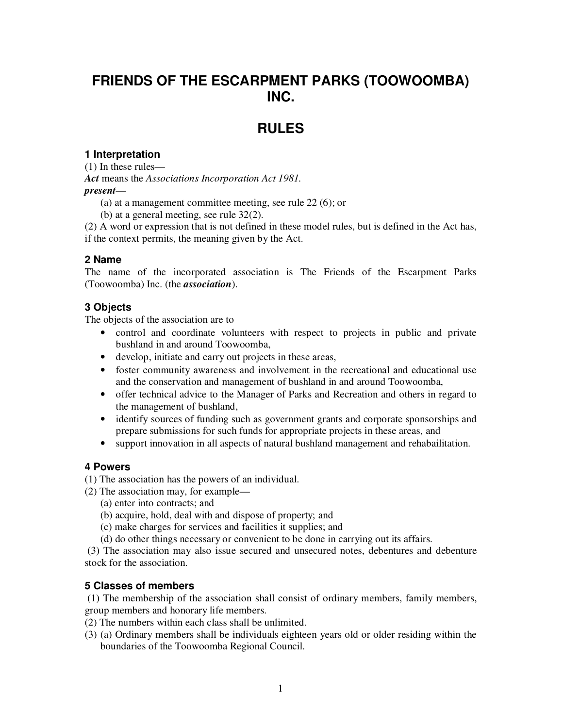# **FRIENDS OF THE ESCARPMENT PARKS (TOOWOOMBA) INC.**

# **RULES**

# **1 Interpretation**

(1) In these rules—

*Act* means the *Associations Incorporation Act 1981. present*—

(a) at a management committee meeting, see rule 22 (6); or

(b) at a general meeting, see rule 32(2).

(2) A word or expression that is not defined in these model rules, but is defined in the Act has, if the context permits, the meaning given by the Act.

# **2 Name**

The name of the incorporated association is The Friends of the Escarpment Parks (Toowoomba) Inc. (the *association*).

# **3 Objects**

The objects of the association are to

- control and coordinate volunteers with respect to projects in public and private bushland in and around Toowoomba,
- develop, initiate and carry out projects in these areas,
- foster community awareness and involvement in the recreational and educational use and the conservation and management of bushland in and around Toowoomba,
- offer technical advice to the Manager of Parks and Recreation and others in regard to the management of bushland,
- identify sources of funding such as government grants and corporate sponsorships and prepare submissions for such funds for appropriate projects in these areas, and
- support innovation in all aspects of natural bushland management and rehabailitation.

# **4 Powers**

(1) The association has the powers of an individual.

- (2) The association may, for example—
	- (a) enter into contracts; and

(b) acquire, hold, deal with and dispose of property; and

- (c) make charges for services and facilities it supplies; and
- (d) do other things necessary or convenient to be done in carrying out its affairs.

 (3) The association may also issue secured and unsecured notes, debentures and debenture stock for the association.

# **5 Classes of members**

 (1) The membership of the association shall consist of ordinary members, family members, group members and honorary life members.

- (2) The numbers within each class shall be unlimited.
- (3) (a) Ordinary members shall be individuals eighteen years old or older residing within the boundaries of the Toowoomba Regional Council.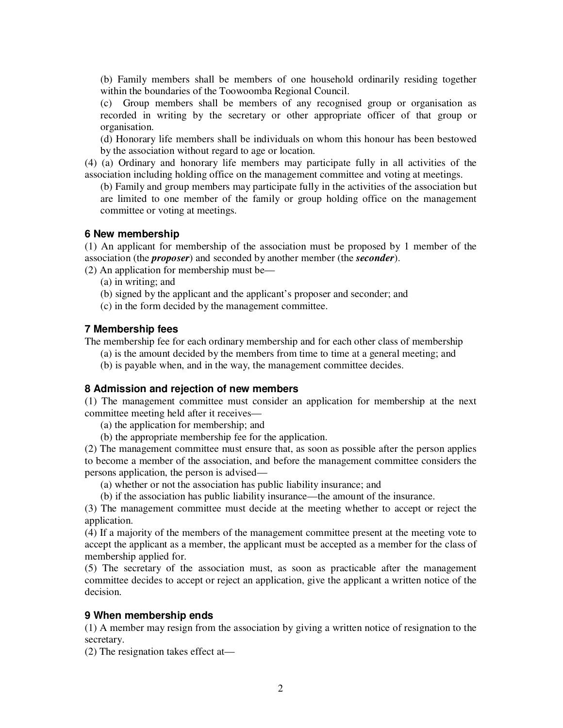(b) Family members shall be members of one household ordinarily residing together within the boundaries of the Toowoomba Regional Council.

(c) Group members shall be members of any recognised group or organisation as recorded in writing by the secretary or other appropriate officer of that group or organisation.

(d) Honorary life members shall be individuals on whom this honour has been bestowed by the association without regard to age or location.

(4) (a) Ordinary and honorary life members may participate fully in all activities of the association including holding office on the management committee and voting at meetings.

(b) Family and group members may participate fully in the activities of the association but are limited to one member of the family or group holding office on the management committee or voting at meetings.

## **6 New membership**

(1) An applicant for membership of the association must be proposed by 1 member of the association (the *proposer*) and seconded by another member (the *seconder*).

(2) An application for membership must be—

- (a) in writing; and
- (b) signed by the applicant and the applicant's proposer and seconder; and
- (c) in the form decided by the management committee.

## **7 Membership fees**

The membership fee for each ordinary membership and for each other class of membership

(a) is the amount decided by the members from time to time at a general meeting; and

(b) is payable when, and in the way, the management committee decides.

## **8 Admission and rejection of new members**

(1) The management committee must consider an application for membership at the next committee meeting held after it receives—

(a) the application for membership; and

(b) the appropriate membership fee for the application.

(2) The management committee must ensure that, as soon as possible after the person applies to become a member of the association, and before the management committee considers the persons application, the person is advised—

(a) whether or not the association has public liability insurance; and

(b) if the association has public liability insurance—the amount of the insurance.

(3) The management committee must decide at the meeting whether to accept or reject the application.

(4) If a majority of the members of the management committee present at the meeting vote to accept the applicant as a member, the applicant must be accepted as a member for the class of membership applied for.

(5) The secretary of the association must, as soon as practicable after the management committee decides to accept or reject an application, give the applicant a written notice of the decision.

## **9 When membership ends**

(1) A member may resign from the association by giving a written notice of resignation to the secretary.

(2) The resignation takes effect at—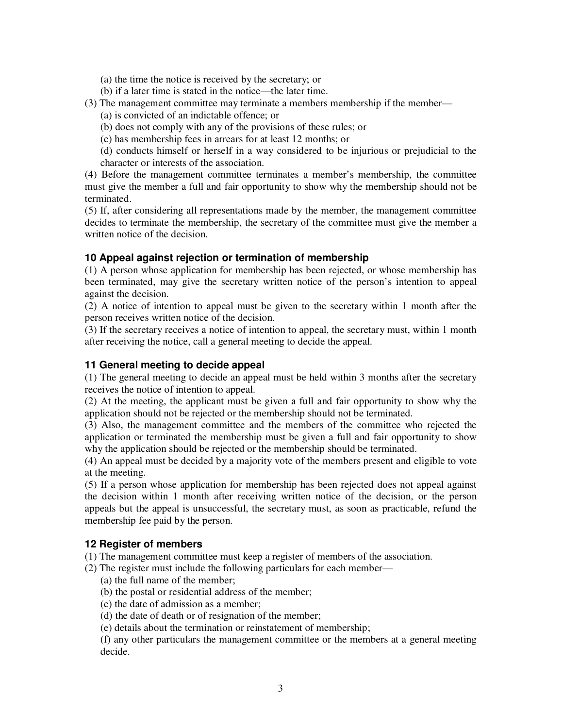- (a) the time the notice is received by the secretary; or
- (b) if a later time is stated in the notice—the later time.
- (3) The management committee may terminate a members membership if the member—
	- (a) is convicted of an indictable offence; or
	- (b) does not comply with any of the provisions of these rules; or
	- (c) has membership fees in arrears for at least 12 months; or

(d) conducts himself or herself in a way considered to be injurious or prejudicial to the character or interests of the association.

(4) Before the management committee terminates a member's membership, the committee must give the member a full and fair opportunity to show why the membership should not be terminated.

(5) If, after considering all representations made by the member, the management committee decides to terminate the membership, the secretary of the committee must give the member a written notice of the decision.

## **10 Appeal against rejection or termination of membership**

(1) A person whose application for membership has been rejected, or whose membership has been terminated, may give the secretary written notice of the person's intention to appeal against the decision.

(2) A notice of intention to appeal must be given to the secretary within 1 month after the person receives written notice of the decision.

(3) If the secretary receives a notice of intention to appeal, the secretary must, within 1 month after receiving the notice, call a general meeting to decide the appeal.

#### **11 General meeting to decide appeal**

(1) The general meeting to decide an appeal must be held within 3 months after the secretary receives the notice of intention to appeal.

(2) At the meeting, the applicant must be given a full and fair opportunity to show why the application should not be rejected or the membership should not be terminated.

(3) Also, the management committee and the members of the committee who rejected the application or terminated the membership must be given a full and fair opportunity to show why the application should be rejected or the membership should be terminated.

(4) An appeal must be decided by a majority vote of the members present and eligible to vote at the meeting.

(5) If a person whose application for membership has been rejected does not appeal against the decision within 1 month after receiving written notice of the decision, or the person appeals but the appeal is unsuccessful, the secretary must, as soon as practicable, refund the membership fee paid by the person.

## **12 Register of members**

(1) The management committee must keep a register of members of the association.

- (2) The register must include the following particulars for each member—
	- (a) the full name of the member;
	- (b) the postal or residential address of the member;
	- (c) the date of admission as a member;
	- (d) the date of death or of resignation of the member;
	- (e) details about the termination or reinstatement of membership;

(f) any other particulars the management committee or the members at a general meeting decide.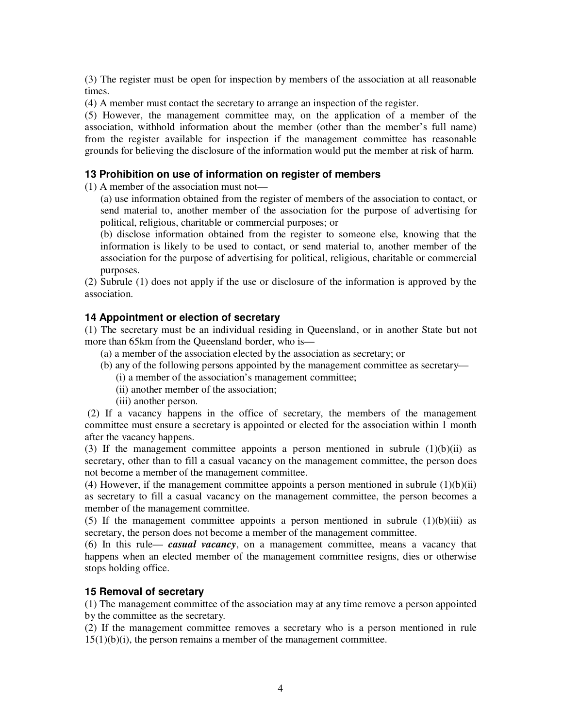(3) The register must be open for inspection by members of the association at all reasonable times.

(4) A member must contact the secretary to arrange an inspection of the register.

(5) However, the management committee may, on the application of a member of the association, withhold information about the member (other than the member's full name) from the register available for inspection if the management committee has reasonable grounds for believing the disclosure of the information would put the member at risk of harm.

#### **13 Prohibition on use of information on register of members**

(1) A member of the association must not—

(a) use information obtained from the register of members of the association to contact, or send material to, another member of the association for the purpose of advertising for political, religious, charitable or commercial purposes; or

(b) disclose information obtained from the register to someone else, knowing that the information is likely to be used to contact, or send material to, another member of the association for the purpose of advertising for political, religious, charitable or commercial purposes.

(2) Subrule (1) does not apply if the use or disclosure of the information is approved by the association.

#### **14 Appointment or election of secretary**

(1) The secretary must be an individual residing in Queensland, or in another State but not more than 65km from the Queensland border, who is—

- (a) a member of the association elected by the association as secretary; or
- (b) any of the following persons appointed by the management committee as secretary—
	- (i) a member of the association's management committee;
	- (ii) another member of the association;
	- (iii) another person.

 (2) If a vacancy happens in the office of secretary, the members of the management committee must ensure a secretary is appointed or elected for the association within 1 month after the vacancy happens.

(3) If the management committee appoints a person mentioned in subrule  $(1)(b)(ii)$  as secretary, other than to fill a casual vacancy on the management committee, the person does not become a member of the management committee.

(4) However, if the management committee appoints a person mentioned in subrule  $(1)(b)(ii)$ as secretary to fill a casual vacancy on the management committee, the person becomes a member of the management committee.

(5) If the management committee appoints a person mentioned in subrule  $(1)(b)(iii)$  as secretary, the person does not become a member of the management committee.

(6) In this rule— *casual vacancy*, on a management committee, means a vacancy that happens when an elected member of the management committee resigns, dies or otherwise stops holding office.

## **15 Removal of secretary**

(1) The management committee of the association may at any time remove a person appointed by the committee as the secretary.

(2) If the management committee removes a secretary who is a person mentioned in rule  $15(1)(b)(i)$ , the person remains a member of the management committee.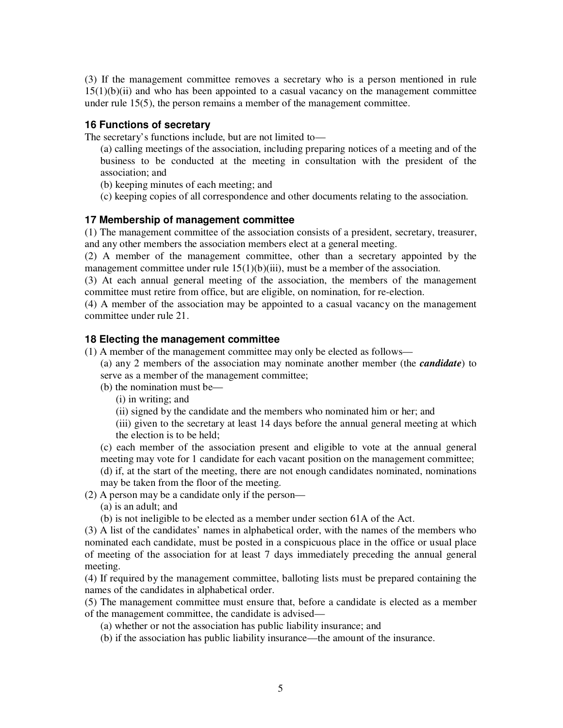(3) If the management committee removes a secretary who is a person mentioned in rule  $15(1)(b)(ii)$  and who has been appointed to a casual vacancy on the management committee under rule 15(5), the person remains a member of the management committee.

## **16 Functions of secretary**

The secretary's functions include, but are not limited to—

(a) calling meetings of the association, including preparing notices of a meeting and of the business to be conducted at the meeting in consultation with the president of the association; and

(b) keeping minutes of each meeting; and

(c) keeping copies of all correspondence and other documents relating to the association.

## **17 Membership of management committee**

(1) The management committee of the association consists of a president, secretary, treasurer, and any other members the association members elect at a general meeting.

(2) A member of the management committee, other than a secretary appointed by the management committee under rule  $15(1)(b)(iii)$ , must be a member of the association.

(3) At each annual general meeting of the association, the members of the management committee must retire from office, but are eligible, on nomination, for re-election.

(4) A member of the association may be appointed to a casual vacancy on the management committee under rule 21.

## **18 Electing the management committee**

(1) A member of the management committee may only be elected as follows—

(a) any 2 members of the association may nominate another member (the *candidate*) to serve as a member of the management committee;

(b) the nomination must be—

(i) in writing; and

(ii) signed by the candidate and the members who nominated him or her; and

(iii) given to the secretary at least 14 days before the annual general meeting at which the election is to be held;

(c) each member of the association present and eligible to vote at the annual general meeting may vote for 1 candidate for each vacant position on the management committee; (d) if, at the start of the meeting, there are not enough candidates nominated, nominations may be taken from the floor of the meeting.

(2) A person may be a candidate only if the person—

(a) is an adult; and

(b) is not ineligible to be elected as a member under section 61A of the Act.

(3) A list of the candidates' names in alphabetical order, with the names of the members who nominated each candidate, must be posted in a conspicuous place in the office or usual place of meeting of the association for at least 7 days immediately preceding the annual general meeting.

(4) If required by the management committee, balloting lists must be prepared containing the names of the candidates in alphabetical order.

(5) The management committee must ensure that, before a candidate is elected as a member of the management committee, the candidate is advised—

(a) whether or not the association has public liability insurance; and

(b) if the association has public liability insurance—the amount of the insurance.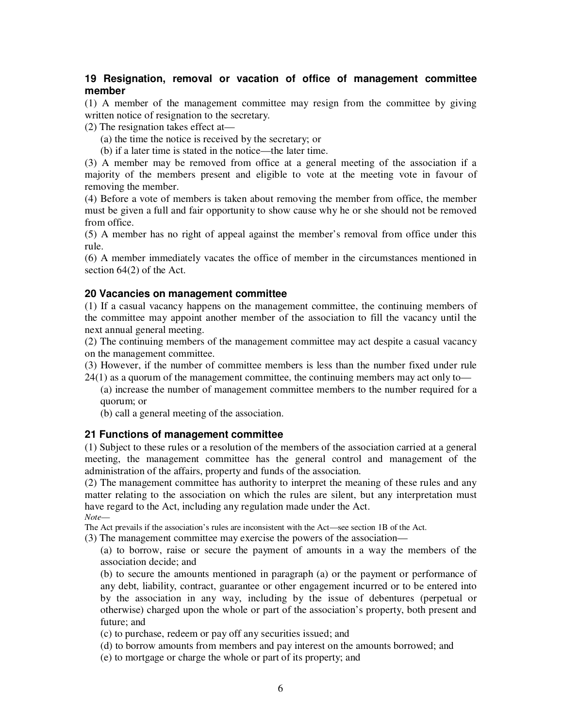## **19 Resignation, removal or vacation of office of management committee member**

(1) A member of the management committee may resign from the committee by giving written notice of resignation to the secretary.

(2) The resignation takes effect at—

- (a) the time the notice is received by the secretary; or
- (b) if a later time is stated in the notice—the later time.

(3) A member may be removed from office at a general meeting of the association if a majority of the members present and eligible to vote at the meeting vote in favour of removing the member.

(4) Before a vote of members is taken about removing the member from office, the member must be given a full and fair opportunity to show cause why he or she should not be removed from office.

(5) A member has no right of appeal against the member's removal from office under this rule.

(6) A member immediately vacates the office of member in the circumstances mentioned in section 64(2) of the Act.

#### **20 Vacancies on management committee**

(1) If a casual vacancy happens on the management committee, the continuing members of the committee may appoint another member of the association to fill the vacancy until the next annual general meeting.

(2) The continuing members of the management committee may act despite a casual vacancy on the management committee.

(3) However, if the number of committee members is less than the number fixed under rule

24(1) as a quorum of the management committee, the continuing members may act only to—

(a) increase the number of management committee members to the number required for a quorum; or

(b) call a general meeting of the association.

#### **21 Functions of management committee**

(1) Subject to these rules or a resolution of the members of the association carried at a general meeting, the management committee has the general control and management of the administration of the affairs, property and funds of the association.

(2) The management committee has authority to interpret the meaning of these rules and any matter relating to the association on which the rules are silent, but any interpretation must have regard to the Act, including any regulation made under the Act.

*Note*—

The Act prevails if the association's rules are inconsistent with the Act—see section 1B of the Act.

(3) The management committee may exercise the powers of the association—

(a) to borrow, raise or secure the payment of amounts in a way the members of the association decide; and

(b) to secure the amounts mentioned in paragraph (a) or the payment or performance of any debt, liability, contract, guarantee or other engagement incurred or to be entered into by the association in any way, including by the issue of debentures (perpetual or otherwise) charged upon the whole or part of the association's property, both present and future; and

(c) to purchase, redeem or pay off any securities issued; and

(d) to borrow amounts from members and pay interest on the amounts borrowed; and

(e) to mortgage or charge the whole or part of its property; and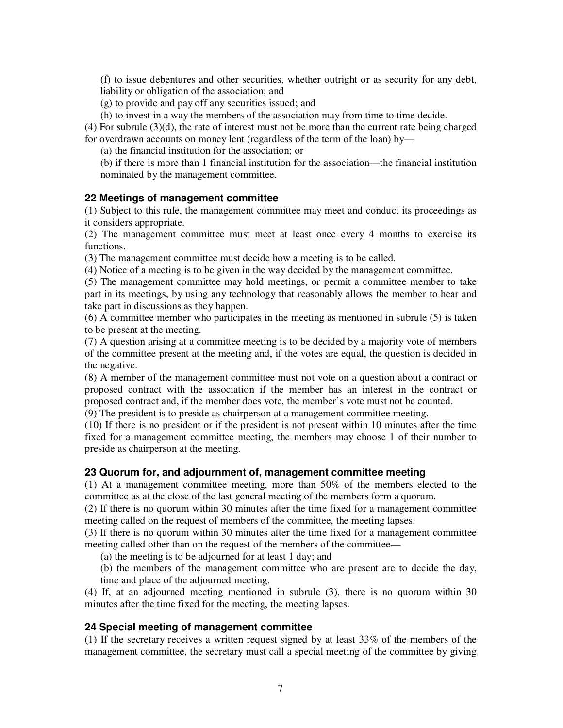(f) to issue debentures and other securities, whether outright or as security for any debt, liability or obligation of the association; and

(g) to provide and pay off any securities issued; and

(h) to invest in a way the members of the association may from time to time decide.

 $(4)$  For subrule  $(3)(d)$ , the rate of interest must not be more than the current rate being charged for overdrawn accounts on money lent (regardless of the term of the loan) by—

(a) the financial institution for the association; or

(b) if there is more than 1 financial institution for the association—the financial institution nominated by the management committee.

## **22 Meetings of management committee**

(1) Subject to this rule, the management committee may meet and conduct its proceedings as it considers appropriate.

(2) The management committee must meet at least once every 4 months to exercise its functions.

(3) The management committee must decide how a meeting is to be called.

(4) Notice of a meeting is to be given in the way decided by the management committee.

(5) The management committee may hold meetings, or permit a committee member to take part in its meetings, by using any technology that reasonably allows the member to hear and take part in discussions as they happen.

(6) A committee member who participates in the meeting as mentioned in subrule (5) is taken to be present at the meeting.

(7) A question arising at a committee meeting is to be decided by a majority vote of members of the committee present at the meeting and, if the votes are equal, the question is decided in the negative.

(8) A member of the management committee must not vote on a question about a contract or proposed contract with the association if the member has an interest in the contract or proposed contract and, if the member does vote, the member's vote must not be counted.

(9) The president is to preside as chairperson at a management committee meeting.

(10) If there is no president or if the president is not present within 10 minutes after the time fixed for a management committee meeting, the members may choose 1 of their number to preside as chairperson at the meeting.

## **23 Quorum for, and adjournment of, management committee meeting**

(1) At a management committee meeting, more than 50% of the members elected to the committee as at the close of the last general meeting of the members form a quorum.

(2) If there is no quorum within 30 minutes after the time fixed for a management committee meeting called on the request of members of the committee, the meeting lapses.

(3) If there is no quorum within 30 minutes after the time fixed for a management committee meeting called other than on the request of the members of the committee—

(a) the meeting is to be adjourned for at least 1 day; and

(b) the members of the management committee who are present are to decide the day, time and place of the adjourned meeting.

(4) If, at an adjourned meeting mentioned in subrule (3), there is no quorum within 30 minutes after the time fixed for the meeting, the meeting lapses.

## **24 Special meeting of management committee**

(1) If the secretary receives a written request signed by at least 33% of the members of the management committee, the secretary must call a special meeting of the committee by giving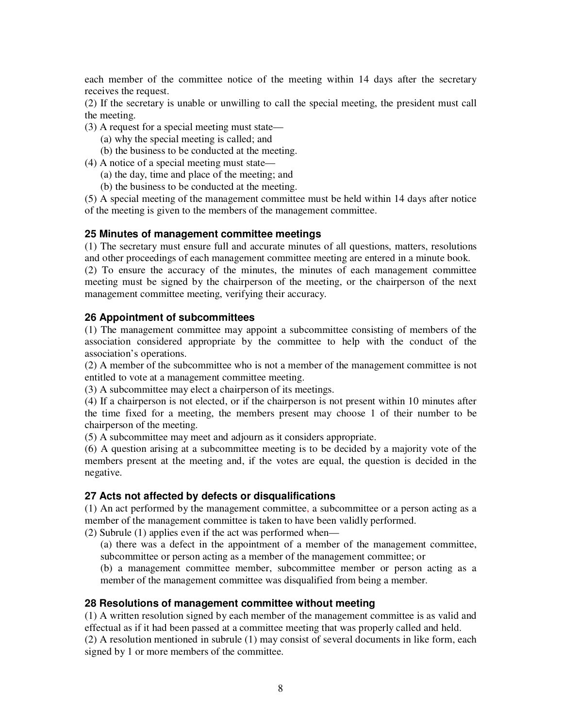each member of the committee notice of the meeting within 14 days after the secretary receives the request.

(2) If the secretary is unable or unwilling to call the special meeting, the president must call the meeting.

- (3) A request for a special meeting must state—
	- (a) why the special meeting is called; and
	- (b) the business to be conducted at the meeting.
- (4) A notice of a special meeting must state—
	- (a) the day, time and place of the meeting; and
	- (b) the business to be conducted at the meeting.

(5) A special meeting of the management committee must be held within 14 days after notice of the meeting is given to the members of the management committee.

#### **25 Minutes of management committee meetings**

(1) The secretary must ensure full and accurate minutes of all questions, matters, resolutions and other proceedings of each management committee meeting are entered in a minute book.

(2) To ensure the accuracy of the minutes, the minutes of each management committee meeting must be signed by the chairperson of the meeting, or the chairperson of the next management committee meeting, verifying their accuracy.

#### **26 Appointment of subcommittees**

(1) The management committee may appoint a subcommittee consisting of members of the association considered appropriate by the committee to help with the conduct of the association's operations.

(2) A member of the subcommittee who is not a member of the management committee is not entitled to vote at a management committee meeting.

(3) A subcommittee may elect a chairperson of its meetings.

(4) If a chairperson is not elected, or if the chairperson is not present within 10 minutes after the time fixed for a meeting, the members present may choose 1 of their number to be chairperson of the meeting.

(5) A subcommittee may meet and adjourn as it considers appropriate.

(6) A question arising at a subcommittee meeting is to be decided by a majority vote of the members present at the meeting and, if the votes are equal, the question is decided in the negative.

#### **27 Acts not affected by defects or disqualifications**

(1) An act performed by the management committee, a subcommittee or a person acting as a member of the management committee is taken to have been validly performed.

(2) Subrule (1) applies even if the act was performed when—

(a) there was a defect in the appointment of a member of the management committee, subcommittee or person acting as a member of the management committee; or

(b) a management committee member, subcommittee member or person acting as a member of the management committee was disqualified from being a member.

#### **28 Resolutions of management committee without meeting**

(1) A written resolution signed by each member of the management committee is as valid and effectual as if it had been passed at a committee meeting that was properly called and held. (2) A resolution mentioned in subrule (1) may consist of several documents in like form, each signed by 1 or more members of the committee.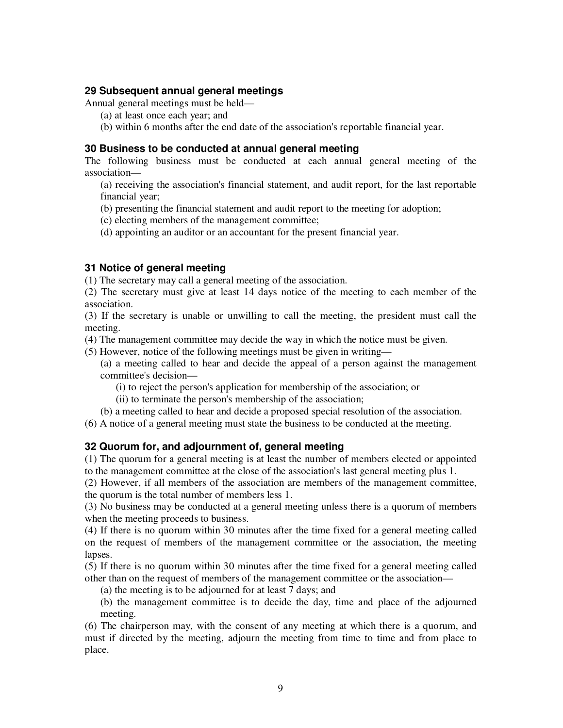## **29 Subsequent annual general meetings**

Annual general meetings must be held—

- (a) at least once each year; and
- (b) within 6 months after the end date of the association's reportable financial year.

## **30 Business to be conducted at annual general meeting**

The following business must be conducted at each annual general meeting of the association—

(a) receiving the association's financial statement, and audit report, for the last reportable financial year;

(b) presenting the financial statement and audit report to the meeting for adoption;

(c) electing members of the management committee;

(d) appointing an auditor or an accountant for the present financial year.

# **31 Notice of general meeting**

(1) The secretary may call a general meeting of the association.

(2) The secretary must give at least 14 days notice of the meeting to each member of the association.

(3) If the secretary is unable or unwilling to call the meeting, the president must call the meeting.

(4) The management committee may decide the way in which the notice must be given.

(5) However, notice of the following meetings must be given in writing—

(a) a meeting called to hear and decide the appeal of a person against the management committee's decision—

- (i) to reject the person's application for membership of the association; or
- (ii) to terminate the person's membership of the association;
- (b) a meeting called to hear and decide a proposed special resolution of the association.

(6) A notice of a general meeting must state the business to be conducted at the meeting.

# **32 Quorum for, and adjournment of, general meeting**

(1) The quorum for a general meeting is at least the number of members elected or appointed to the management committee at the close of the association's last general meeting plus 1.

(2) However, if all members of the association are members of the management committee, the quorum is the total number of members less 1.

(3) No business may be conducted at a general meeting unless there is a quorum of members when the meeting proceeds to business.

(4) If there is no quorum within 30 minutes after the time fixed for a general meeting called on the request of members of the management committee or the association, the meeting lapses.

(5) If there is no quorum within 30 minutes after the time fixed for a general meeting called other than on the request of members of the management committee or the association—

(a) the meeting is to be adjourned for at least 7 days; and

(b) the management committee is to decide the day, time and place of the adjourned meeting.

(6) The chairperson may, with the consent of any meeting at which there is a quorum, and must if directed by the meeting, adjourn the meeting from time to time and from place to place.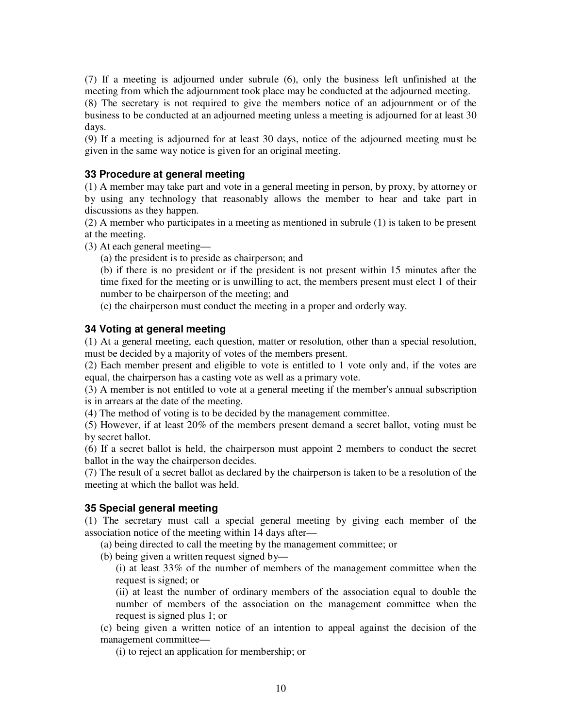(7) If a meeting is adjourned under subrule (6), only the business left unfinished at the meeting from which the adjournment took place may be conducted at the adjourned meeting. (8) The secretary is not required to give the members notice of an adjournment or of the business to be conducted at an adjourned meeting unless a meeting is adjourned for at least 30 days.

(9) If a meeting is adjourned for at least 30 days, notice of the adjourned meeting must be given in the same way notice is given for an original meeting.

## **33 Procedure at general meeting**

(1) A member may take part and vote in a general meeting in person, by proxy, by attorney or by using any technology that reasonably allows the member to hear and take part in discussions as they happen.

(2) A member who participates in a meeting as mentioned in subrule (1) is taken to be present at the meeting.

(3) At each general meeting—

(a) the president is to preside as chairperson; and

(b) if there is no president or if the president is not present within 15 minutes after the time fixed for the meeting or is unwilling to act, the members present must elect 1 of their number to be chairperson of the meeting; and

(c) the chairperson must conduct the meeting in a proper and orderly way.

## **34 Voting at general meeting**

(1) At a general meeting, each question, matter or resolution, other than a special resolution, must be decided by a majority of votes of the members present.

(2) Each member present and eligible to vote is entitled to 1 vote only and, if the votes are equal, the chairperson has a casting vote as well as a primary vote.

(3) A member is not entitled to vote at a general meeting if the member's annual subscription is in arrears at the date of the meeting.

(4) The method of voting is to be decided by the management committee.

(5) However, if at least 20% of the members present demand a secret ballot, voting must be by secret ballot.

(6) If a secret ballot is held, the chairperson must appoint 2 members to conduct the secret ballot in the way the chairperson decides.

(7) The result of a secret ballot as declared by the chairperson is taken to be a resolution of the meeting at which the ballot was held.

## **35 Special general meeting**

(1) The secretary must call a special general meeting by giving each member of the association notice of the meeting within 14 days after—

(a) being directed to call the meeting by the management committee; or

(b) being given a written request signed by—

(i) at least 33% of the number of members of the management committee when the request is signed; or

(ii) at least the number of ordinary members of the association equal to double the number of members of the association on the management committee when the request is signed plus 1; or

(c) being given a written notice of an intention to appeal against the decision of the management committee—

(i) to reject an application for membership; or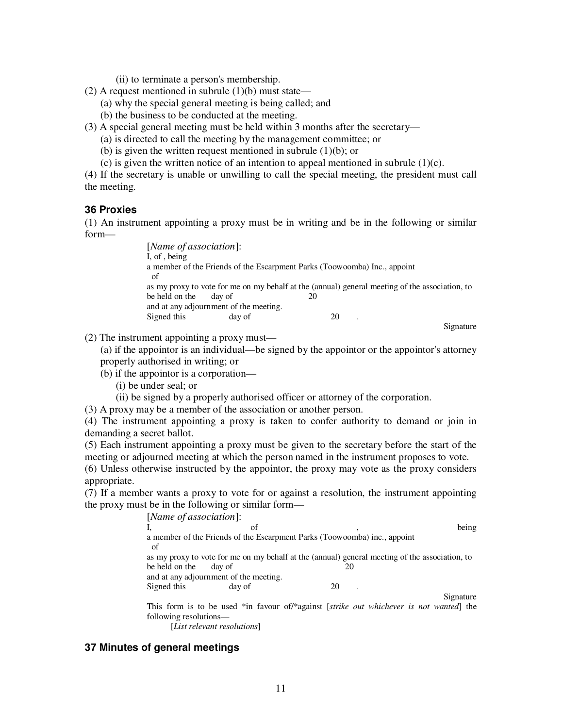(ii) to terminate a person's membership.

- (2) A request mentioned in subrule  $(1)(b)$  must state—
	- (a) why the special general meeting is being called; and
	- (b) the business to be conducted at the meeting.
- (3) A special general meeting must be held within 3 months after the secretary—
	- (a) is directed to call the meeting by the management committee; or
	- (b) is given the written request mentioned in subrule (1)(b); or
	- (c) is given the written notice of an intention to appeal mentioned in subrule  $(1)(c)$ .

(4) If the secretary is unable or unwilling to call the special meeting, the president must call the meeting.

## **36 Proxies**

(1) An instrument appointing a proxy must be in writing and be in the following or similar form—

> [*Name of association*]: I, of , being a member of the Friends of the Escarpment Parks (Toowoomba) Inc., appoint of as my proxy to vote for me on my behalf at the (annual) general meeting of the association, to be held on the day of 20 and at any adjournment of the meeting. Signed this day of 20 . Signature

(2) The instrument appointing a proxy must—

(a) if the appointor is an individual—be signed by the appointor or the appointor's attorney properly authorised in writing; or

- (b) if the appointor is a corporation—
	- (i) be under seal; or
	- (ii) be signed by a properly authorised officer or attorney of the corporation.

(3) A proxy may be a member of the association or another person.

(4) The instrument appointing a proxy is taken to confer authority to demand or join in demanding a secret ballot.

(5) Each instrument appointing a proxy must be given to the secretary before the start of the meeting or adjourned meeting at which the person named in the instrument proposes to vote.

(6) Unless otherwise instructed by the appointor, the proxy may vote as the proxy considers appropriate.

(7) If a member wants a proxy to vote for or against a resolution, the instrument appointing the proxy must be in the following or similar form—

> [*Name of association*]: I, being of the set of the set of the set of the set of the set of the set of the set of the set of the set of the set of the set of the set of the set of the set of the set of the set of the set of the set of the set of t a member of the Friends of the Escarpment Parks (Toowoomba) inc., appoint of as my proxy to vote for me on my behalf at the (annual) general meeting of the association, to be held on the day of 20 and at any adjournment of the meeting. Signed this day of 20 Signature

> This form is to be used \*in favour of/\*against [*strike out whichever is not wanted*] the following resolutions—

[*List relevant resolutions*]

# **37 Minutes of general meetings**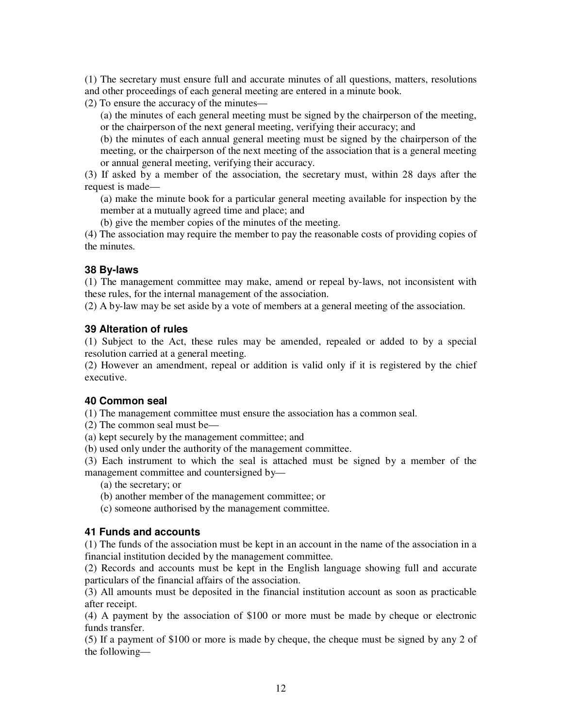(1) The secretary must ensure full and accurate minutes of all questions, matters, resolutions and other proceedings of each general meeting are entered in a minute book.

(2) To ensure the accuracy of the minutes—

(a) the minutes of each general meeting must be signed by the chairperson of the meeting, or the chairperson of the next general meeting, verifying their accuracy; and

(b) the minutes of each annual general meeting must be signed by the chairperson of the meeting, or the chairperson of the next meeting of the association that is a general meeting or annual general meeting, verifying their accuracy.

(3) If asked by a member of the association, the secretary must, within 28 days after the request is made—

(a) make the minute book for a particular general meeting available for inspection by the member at a mutually agreed time and place; and

(b) give the member copies of the minutes of the meeting.

(4) The association may require the member to pay the reasonable costs of providing copies of the minutes.

# **38 By-laws**

(1) The management committee may make, amend or repeal by-laws, not inconsistent with these rules, for the internal management of the association.

(2) A by-law may be set aside by a vote of members at a general meeting of the association.

## **39 Alteration of rules**

(1) Subject to the Act, these rules may be amended, repealed or added to by a special resolution carried at a general meeting.

(2) However an amendment, repeal or addition is valid only if it is registered by the chief executive.

## **40 Common seal**

(1) The management committee must ensure the association has a common seal.

(2) The common seal must be—

(a) kept securely by the management committee; and

(b) used only under the authority of the management committee.

(3) Each instrument to which the seal is attached must be signed by a member of the management committee and countersigned by—

(a) the secretary; or

(b) another member of the management committee; or

(c) someone authorised by the management committee.

## **41 Funds and accounts**

(1) The funds of the association must be kept in an account in the name of the association in a financial institution decided by the management committee.

(2) Records and accounts must be kept in the English language showing full and accurate particulars of the financial affairs of the association.

(3) All amounts must be deposited in the financial institution account as soon as practicable after receipt.

(4) A payment by the association of \$100 or more must be made by cheque or electronic funds transfer.

(5) If a payment of \$100 or more is made by cheque, the cheque must be signed by any 2 of the following—